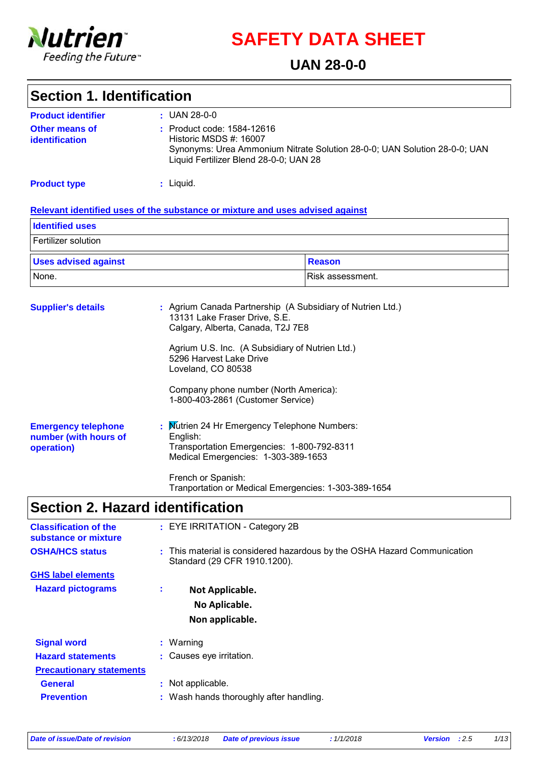

**SAFETY DATA SHEET**

### **UAN 28-0-0**

### **Section 1. Identification**

| <b>Product identifier</b>               | $\pm$ UAN 28-0-0                                                                                                                                                            |
|-----------------------------------------|-----------------------------------------------------------------------------------------------------------------------------------------------------------------------------|
| <b>Other means of</b><br>identification | : Product code: 1584-12616<br>Historic MSDS #: 16007<br>Synonyms: Urea Ammonium Nitrate Solution 28-0-0; UAN Solution 28-0-0; UAN<br>Liquid Fertilizer Blend 28-0-0; UAN 28 |

**Product type**

Liquid. **:**

#### **Relevant identified uses of the substance or mixture and uses advised against**

| <b>Identified uses</b>      |                  |
|-----------------------------|------------------|
| Fertilizer solution         |                  |
| <b>Uses advised against</b> | Reason           |
| None.                       | Risk assessment. |

| <b>Supplier's details</b>                                         | : Agrium Canada Partnership (A Subsidiary of Nutrien Ltd.)<br>13131 Lake Fraser Drive, S.E.<br>Calgary, Alberta, Canada, T2J 7E8              |
|-------------------------------------------------------------------|-----------------------------------------------------------------------------------------------------------------------------------------------|
|                                                                   | Agrium U.S. Inc. (A Subsidiary of Nutrien Ltd.)<br>5296 Harvest Lake Drive<br>Loveland, CO 80538                                              |
|                                                                   | Company phone number (North America):<br>1-800-403-2861 (Customer Service)                                                                    |
| <b>Emergency telephone</b><br>number (with hours of<br>operation) | : Mutrien 24 Hr Emergency Telephone Numbers:<br>English:<br>Transportation Emergencies: 1-800-792-8311<br>Medical Emergencies: 1-303-389-1653 |
|                                                                   | French or Spanish:                                                                                                                            |

### **Section 2. Hazard identification**

| <b>Classification of the</b><br>substance or mixture | : EYE IRRITATION - Category 2B                                                                           |
|------------------------------------------------------|----------------------------------------------------------------------------------------------------------|
| <b>OSHA/HCS status</b>                               | : This material is considered hazardous by the OSHA Hazard Communication<br>Standard (29 CFR 1910.1200). |
| <b>GHS label elements</b>                            |                                                                                                          |
| <b>Hazard pictograms</b>                             | ÷<br>Not Applicable.<br>No Aplicable.                                                                    |
|                                                      |                                                                                                          |
|                                                      | Non applicable.                                                                                          |
| <b>Signal word</b>                                   | $:$ Warning                                                                                              |
| <b>Hazard statements</b>                             | : Causes eye irritation.                                                                                 |
| <b>Precautionary statements</b>                      |                                                                                                          |
| <b>General</b>                                       | : Not applicable.                                                                                        |
| <b>Prevention</b>                                    | : Wash hands thoroughly after handling.                                                                  |

Tranportation or Medical Emergencies: 1-303-389-1654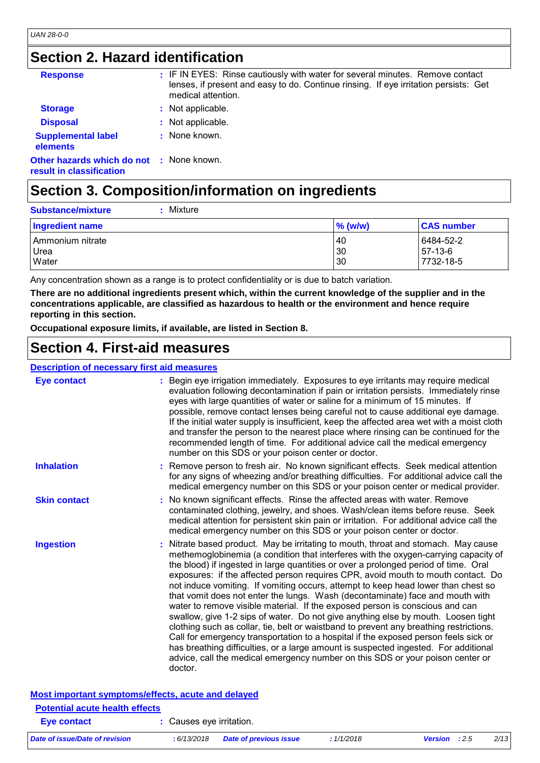## **Section 2. Hazard identification**

| <b>Response</b>                                                             | : IF IN EYES: Rinse cautiously with water for several minutes. Remove contact<br>lenses, if present and easy to do. Continue rinsing. If eye irritation persists: Get<br>medical attention. |
|-----------------------------------------------------------------------------|---------------------------------------------------------------------------------------------------------------------------------------------------------------------------------------------|
| <b>Storage</b>                                                              | : Not applicable.                                                                                                                                                                           |
| <b>Disposal</b>                                                             | : Not applicable.                                                                                                                                                                           |
| <b>Supplemental label</b><br>elements                                       | : None known.                                                                                                                                                                               |
| <b>Other hazards which do not : None known.</b><br>result in classification |                                                                                                                                                                                             |
|                                                                             |                                                                                                                                                                                             |

## **Section 3. Composition/information on ingredients**

| : Mixture<br><b>Substance/mixture</b> |                |                                     |
|---------------------------------------|----------------|-------------------------------------|
| Ingredient name                       | $\%$ (w/w)     | <b>CAS number</b>                   |
| Ammonium nitrate<br>Urea<br>Water     | 40<br>30<br>30 | 6484-52-2<br>$57-13-6$<br>7732-18-5 |

Any concentration shown as a range is to protect confidentiality or is due to batch variation.

**There are no additional ingredients present which, within the current knowledge of the supplier and in the concentrations applicable, are classified as hazardous to health or the environment and hence require reporting in this section.**

**Occupational exposure limits, if available, are listed in Section 8.**

### **Section 4. First-aid measures**

#### **Description of necessary first aid measures**

| <b>Eye contact</b>                                 | : Begin eye irrigation immediately. Exposures to eye irritants may require medical<br>evaluation following decontamination if pain or irritation persists. Immediately rinse<br>eyes with large quantities of water or saline for a minimum of 15 minutes. If<br>possible, remove contact lenses being careful not to cause additional eye damage.<br>If the initial water supply is insufficient, keep the affected area wet with a moist cloth<br>and transfer the person to the nearest place where rinsing can be continued for the<br>recommended length of time. For additional advice call the medical emergency<br>number on this SDS or your poison center or doctor.                                                                                                                                                                                                                                                                                                                                                                                       |
|----------------------------------------------------|----------------------------------------------------------------------------------------------------------------------------------------------------------------------------------------------------------------------------------------------------------------------------------------------------------------------------------------------------------------------------------------------------------------------------------------------------------------------------------------------------------------------------------------------------------------------------------------------------------------------------------------------------------------------------------------------------------------------------------------------------------------------------------------------------------------------------------------------------------------------------------------------------------------------------------------------------------------------------------------------------------------------------------------------------------------------|
| <b>Inhalation</b>                                  | : Remove person to fresh air. No known significant effects. Seek medical attention<br>for any signs of wheezing and/or breathing difficulties. For additional advice call the<br>medical emergency number on this SDS or your poison center or medical provider.                                                                                                                                                                                                                                                                                                                                                                                                                                                                                                                                                                                                                                                                                                                                                                                                     |
| <b>Skin contact</b>                                | : No known significant effects. Rinse the affected areas with water. Remove<br>contaminated clothing, jewelry, and shoes. Wash/clean items before reuse. Seek<br>medical attention for persistent skin pain or irritation. For additional advice call the<br>medical emergency number on this SDS or your poison center or doctor.                                                                                                                                                                                                                                                                                                                                                                                                                                                                                                                                                                                                                                                                                                                                   |
| <b>Ingestion</b>                                   | : Nitrate based product. May be irritating to mouth, throat and stomach. May cause<br>methemoglobinemia (a condition that interferes with the oxygen-carrying capacity of<br>the blood) if ingested in large quantities or over a prolonged period of time. Oral<br>exposures: if the affected person requires CPR, avoid mouth to mouth contact. Do<br>not induce vomiting. If vomiting occurs, attempt to keep head lower than chest so<br>that vomit does not enter the lungs. Wash (decontaminate) face and mouth with<br>water to remove visible material. If the exposed person is conscious and can<br>swallow, give 1-2 sips of water. Do not give anything else by mouth. Loosen tight<br>clothing such as collar, tie, belt or waistband to prevent any breathing restrictions.<br>Call for emergency transportation to a hospital if the exposed person feels sick or<br>has breathing difficulties, or a large amount is suspected ingested. For additional<br>advice, call the medical emergency number on this SDS or your poison center or<br>doctor. |
| Most important symptoms/effects, acute and delayed |                                                                                                                                                                                                                                                                                                                                                                                                                                                                                                                                                                                                                                                                                                                                                                                                                                                                                                                                                                                                                                                                      |

| <u>moot mportante o finalesmoral choque acato and acid fou</u><br><b>Potential acute health effects</b> |                          |                               |           |                      |      |
|---------------------------------------------------------------------------------------------------------|--------------------------|-------------------------------|-----------|----------------------|------|
| Eye contact                                                                                             | : Causes eve irritation. |                               |           |                      |      |
| Date of issue/Date of revision                                                                          | : 6/13/2018              | <b>Date of previous issue</b> | :1/1/2018 | <b>Version</b> : 2.5 | 2/13 |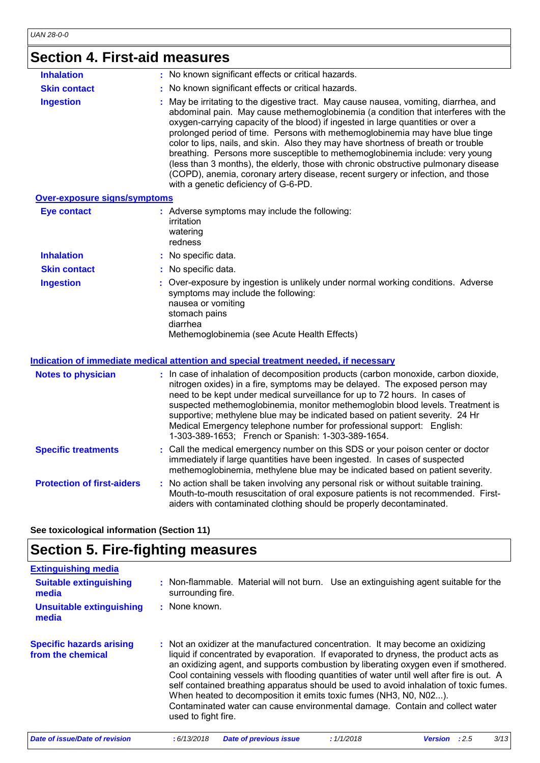# **Section 4. First-aid measures**

| <b>Inhalation</b>                   | : No known significant effects or critical hazards.                                                                                                                                                                                                                                                                                                                                                                                                                                                                                                                                                                                                                                                                                   |
|-------------------------------------|---------------------------------------------------------------------------------------------------------------------------------------------------------------------------------------------------------------------------------------------------------------------------------------------------------------------------------------------------------------------------------------------------------------------------------------------------------------------------------------------------------------------------------------------------------------------------------------------------------------------------------------------------------------------------------------------------------------------------------------|
| <b>Skin contact</b>                 | : No known significant effects or critical hazards.                                                                                                                                                                                                                                                                                                                                                                                                                                                                                                                                                                                                                                                                                   |
| <b>Ingestion</b>                    | : May be irritating to the digestive tract. May cause nausea, vomiting, diarrhea, and<br>abdominal pain. May cause methemoglobinemia (a condition that interferes with the<br>oxygen-carrying capacity of the blood) if ingested in large quantities or over a<br>prolonged period of time. Persons with methemoglobinemia may have blue tinge<br>color to lips, nails, and skin. Also they may have shortness of breath or trouble<br>breathing. Persons more susceptible to methemoglobinemia include: very young<br>(less than 3 months), the elderly, those with chronic obstructive pulmonary disease<br>(COPD), anemia, coronary artery disease, recent surgery or infection, and those<br>with a genetic deficiency of G-6-PD. |
| <b>Over-exposure signs/symptoms</b> |                                                                                                                                                                                                                                                                                                                                                                                                                                                                                                                                                                                                                                                                                                                                       |
| <b>Eye contact</b>                  | : Adverse symptoms may include the following:<br>irritation<br>watering<br>redness                                                                                                                                                                                                                                                                                                                                                                                                                                                                                                                                                                                                                                                    |
| <b>Inhalation</b>                   | : No specific data.                                                                                                                                                                                                                                                                                                                                                                                                                                                                                                                                                                                                                                                                                                                   |
| <b>Skin contact</b>                 | : No specific data.                                                                                                                                                                                                                                                                                                                                                                                                                                                                                                                                                                                                                                                                                                                   |
| <b>Ingestion</b>                    | : Over-exposure by ingestion is unlikely under normal working conditions. Adverse<br>symptoms may include the following:<br>nausea or vomiting<br>stomach pains                                                                                                                                                                                                                                                                                                                                                                                                                                                                                                                                                                       |

diarrhea

Methemoglobinemia (see Acute Health Effects)

#### **Indication of immediate medical attention and special treatment needed, if necessary**

| <b>Notes to physician</b>         | : In case of inhalation of decomposition products (carbon monoxide, carbon dioxide,<br>nitrogen oxides) in a fire, symptoms may be delayed. The exposed person may<br>need to be kept under medical surveillance for up to 72 hours. In cases of<br>suspected methemoglobinemia, monitor methemoglobin blood levels. Treatment is<br>supportive; methylene blue may be indicated based on patient severity. 24 Hr<br>Medical Emergency telephone number for professional support: English:<br>1-303-389-1653; French or Spanish: 1-303-389-1654. |
|-----------------------------------|--------------------------------------------------------------------------------------------------------------------------------------------------------------------------------------------------------------------------------------------------------------------------------------------------------------------------------------------------------------------------------------------------------------------------------------------------------------------------------------------------------------------------------------------------|
| <b>Specific treatments</b>        | : Call the medical emergency number on this SDS or your poison center or doctor<br>immediately if large quantities have been ingested. In cases of suspected<br>methemoglobinemia, methylene blue may be indicated based on patient severity.                                                                                                                                                                                                                                                                                                    |
| <b>Protection of first-aiders</b> | : No action shall be taken involving any personal risk or without suitable training.<br>Mouth-to-mouth resuscitation of oral exposure patients is not recommended. First-<br>aiders with contaminated clothing should be properly decontaminated.                                                                                                                                                                                                                                                                                                |

**See toxicological information (Section 11)**

## **Section 5. Fire-fighting measures**

| <b>Extinguishing media</b>                           |                                                                                                                                                                                                                                                                                                                                                                                                                                                                                                                                                                                                                                  |
|------------------------------------------------------|----------------------------------------------------------------------------------------------------------------------------------------------------------------------------------------------------------------------------------------------------------------------------------------------------------------------------------------------------------------------------------------------------------------------------------------------------------------------------------------------------------------------------------------------------------------------------------------------------------------------------------|
| <b>Suitable extinguishing</b><br>media               | : Non-flammable. Material will not burn. Use an extinguishing agent suitable for the<br>surrounding fire.                                                                                                                                                                                                                                                                                                                                                                                                                                                                                                                        |
| <b>Unsuitable extinguishing</b><br>media             | : None known.                                                                                                                                                                                                                                                                                                                                                                                                                                                                                                                                                                                                                    |
| <b>Specific hazards arising</b><br>from the chemical | : Not an oxidizer at the manufactured concentration. It may become an oxidizing<br>liquid if concentrated by evaporation. If evaporated to dryness, the product acts as<br>an oxidizing agent, and supports combustion by liberating oxygen even if smothered.<br>Cool containing vessels with flooding quantities of water until well after fire is out. A<br>self contained breathing apparatus should be used to avoid inhalation of toxic fumes.<br>When heated to decomposition it emits toxic fumes (NH3, N0, N02).<br>Contaminated water can cause environmental damage. Contain and collect water<br>used to fight fire. |
| <b>Date of issue/Date of revision</b>                | 3/13<br>: 6/13/2018<br>: 1/1/2018<br>:2.5<br><b>Date of previous issue</b><br>Version                                                                                                                                                                                                                                                                                                                                                                                                                                                                                                                                            |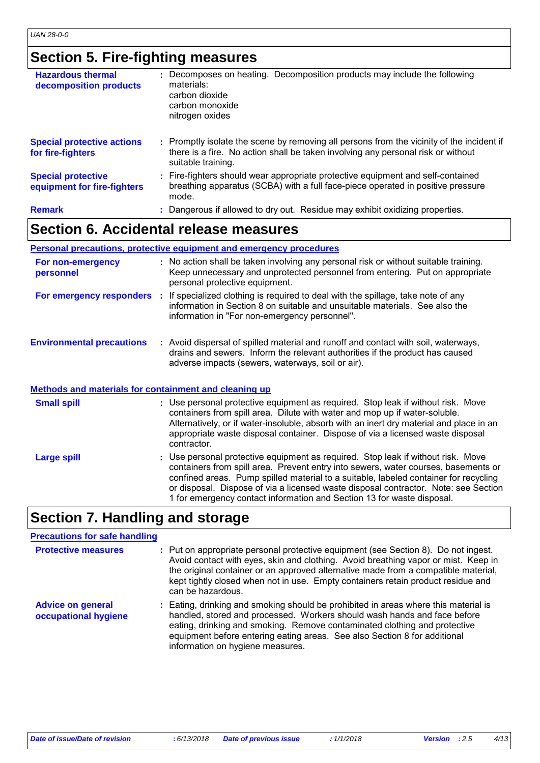## **Section 5. Fire-fighting measures**

| <b>Hazardous thermal</b><br>decomposition products       | : Decomposes on heating. Decomposition products may include the following<br>materials:<br>carbon dioxide<br>carbon monoxide<br>nitrogen oxides                                                     |
|----------------------------------------------------------|-----------------------------------------------------------------------------------------------------------------------------------------------------------------------------------------------------|
| <b>Special protective actions</b><br>for fire-fighters   | : Promptly isolate the scene by removing all persons from the vicinity of the incident if<br>there is a fire. No action shall be taken involving any personal risk or without<br>suitable training. |
| <b>Special protective</b><br>equipment for fire-fighters | : Fire-fighters should wear appropriate protective equipment and self-contained<br>breathing apparatus (SCBA) with a full face-piece operated in positive pressure<br>mode.                         |
| <b>Remark</b>                                            | : Dangerous if allowed to dry out. Residue may exhibit oxidizing properties.                                                                                                                        |

### **Section 6. Accidental release measures**

#### **Personal precautions, protective equipment and emergency procedures**

| For non-emergency<br>personnel                        | : No action shall be taken involving any personal risk or without suitable training.<br>Keep unnecessary and unprotected personnel from entering. Put on appropriate<br>personal protective equipment.                                                                                                                                                                                                                          |
|-------------------------------------------------------|---------------------------------------------------------------------------------------------------------------------------------------------------------------------------------------------------------------------------------------------------------------------------------------------------------------------------------------------------------------------------------------------------------------------------------|
|                                                       | For emergency responders : If specialized clothing is required to deal with the spillage, take note of any<br>information in Section 8 on suitable and unsuitable materials. See also the<br>information in "For non-emergency personnel".                                                                                                                                                                                      |
| <b>Environmental precautions</b>                      | : Avoid dispersal of spilled material and runoff and contact with soil, waterways,<br>drains and sewers. Inform the relevant authorities if the product has caused<br>adverse impacts (sewers, waterways, soil or air).                                                                                                                                                                                                         |
| Methods and materials for containment and cleaning up |                                                                                                                                                                                                                                                                                                                                                                                                                                 |
| <b>Small spill</b>                                    | : Use personal protective equipment as required. Stop leak if without risk. Move<br>containers from spill area. Dilute with water and mop up if water-soluble.<br>Alternatively, or if water-insoluble, absorb with an inert dry material and place in an<br>appropriate waste disposal container. Dispose of via a licensed waste disposal<br>contractor.                                                                      |
| <b>Large spill</b>                                    | : Use personal protective equipment as required. Stop leak if without risk. Move<br>containers from spill area. Prevent entry into sewers, water courses, basements or<br>confined areas. Pump spilled material to a suitable, labeled container for recycling<br>or disposal. Dispose of via a licensed waste disposal contractor. Note: see Section<br>1 for emergency contact information and Section 13 for waste disposal. |

## **Section 7. Handling and storage**

#### **Precautions for safe handling**

| <b>Protective measures</b>                       | : Put on appropriate personal protective equipment (see Section 8). Do not ingest.<br>Avoid contact with eyes, skin and clothing. Avoid breathing vapor or mist. Keep in<br>the original container or an approved alternative made from a compatible material,<br>kept tightly closed when not in use. Empty containers retain product residue and<br>can be hazardous. |
|--------------------------------------------------|-------------------------------------------------------------------------------------------------------------------------------------------------------------------------------------------------------------------------------------------------------------------------------------------------------------------------------------------------------------------------|
| <b>Advice on general</b><br>occupational hygiene | : Eating, drinking and smoking should be prohibited in areas where this material is<br>handled, stored and processed. Workers should wash hands and face before<br>eating, drinking and smoking. Remove contaminated clothing and protective<br>equipment before entering eating areas. See also Section 8 for additional<br>information on hygiene measures.           |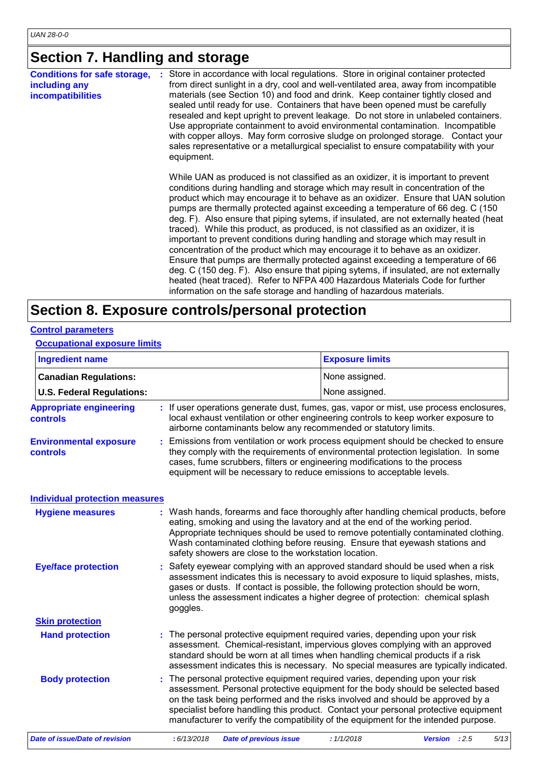# **Section 7. Handling and storage**

| <b>Conditions for safe storage,</b><br>including any<br><b>incompatibilities</b> | Store in accordance with local regulations. Store in original container protected<br>from direct sunlight in a dry, cool and well-ventilated area, away from incompatible<br>materials (see Section 10) and food and drink. Keep container tightly closed and<br>sealed until ready for use. Containers that have been opened must be carefully<br>resealed and kept upright to prevent leakage. Do not store in unlabeled containers.<br>Use appropriate containment to avoid environmental contamination. Incompatible<br>with copper alloys. May form corrosive sludge on prolonged storage. Contact your<br>sales representative or a metallurgical specialist to ensure compatability with your<br>equipment.                                                                                                                                                                                                                                                                                                                    |
|----------------------------------------------------------------------------------|---------------------------------------------------------------------------------------------------------------------------------------------------------------------------------------------------------------------------------------------------------------------------------------------------------------------------------------------------------------------------------------------------------------------------------------------------------------------------------------------------------------------------------------------------------------------------------------------------------------------------------------------------------------------------------------------------------------------------------------------------------------------------------------------------------------------------------------------------------------------------------------------------------------------------------------------------------------------------------------------------------------------------------------|
|                                                                                  | While UAN as produced is not classified as an oxidizer, it is important to prevent<br>conditions during handling and storage which may result in concentration of the<br>product which may encourage it to behave as an oxidizer. Ensure that UAN solution<br>pumps are thermally protected against exceeding a temperature of 66 deg. C (150)<br>deg. F). Also ensure that piping sytems, if insulated, are not externally heated (heat<br>traced). While this product, as produced, is not classified as an oxidizer, it is<br>important to prevent conditions during handling and storage which may result in<br>concentration of the product which may encourage it to behave as an oxidizer.<br>Ensure that pumps are thermally protected against exceeding a temperature of 66<br>deg. C (150 deg. F). Also ensure that piping sytems, if insulated, are not externally<br>heated (heat traced). Refer to NFPA 400 Hazardous Materials Code for further<br>information on the safe storage and handling of hazardous materials. |

### **Section 8. Exposure controls/personal protection**

#### **Control parameters**

#### **Occupational exposure limits**

| <b>Ingredient name</b>                            |             |                                                                                                                                                                                                                                                                                                                                                                                                                                | <b>Exposure limits</b> |                       |
|---------------------------------------------------|-------------|--------------------------------------------------------------------------------------------------------------------------------------------------------------------------------------------------------------------------------------------------------------------------------------------------------------------------------------------------------------------------------------------------------------------------------|------------------------|-----------------------|
| <b>Canadian Regulations:</b>                      |             |                                                                                                                                                                                                                                                                                                                                                                                                                                | None assigned.         |                       |
| <b>U.S. Federal Regulations:</b>                  |             |                                                                                                                                                                                                                                                                                                                                                                                                                                | None assigned.         |                       |
| <b>Appropriate engineering</b><br><b>controls</b> |             | : If user operations generate dust, fumes, gas, vapor or mist, use process enclosures,<br>local exhaust ventilation or other engineering controls to keep worker exposure to<br>airborne contaminants below any recommended or statutory limits.                                                                                                                                                                               |                        |                       |
| <b>Environmental exposure</b><br>controls         |             | Emissions from ventilation or work process equipment should be checked to ensure<br>they comply with the requirements of environmental protection legislation. In some<br>cases, fume scrubbers, filters or engineering modifications to the process<br>equipment will be necessary to reduce emissions to acceptable levels.                                                                                                  |                        |                       |
| <b>Individual protection measures</b>             |             |                                                                                                                                                                                                                                                                                                                                                                                                                                |                        |                       |
| <b>Hygiene measures</b>                           |             | : Wash hands, forearms and face thoroughly after handling chemical products, before<br>eating, smoking and using the lavatory and at the end of the working period.<br>Appropriate techniques should be used to remove potentially contaminated clothing.<br>Wash contaminated clothing before reusing. Ensure that eyewash stations and<br>safety showers are close to the workstation location.                              |                        |                       |
| <b>Eye/face protection</b>                        | goggles.    | : Safety eyewear complying with an approved standard should be used when a risk<br>assessment indicates this is necessary to avoid exposure to liquid splashes, mists,<br>gases or dusts. If contact is possible, the following protection should be worn,<br>unless the assessment indicates a higher degree of protection: chemical splash                                                                                   |                        |                       |
| <b>Skin protection</b>                            |             |                                                                                                                                                                                                                                                                                                                                                                                                                                |                        |                       |
| <b>Hand protection</b>                            |             | The personal protective equipment required varies, depending upon your risk<br>assessment. Chemical-resistant, impervious gloves complying with an approved<br>standard should be worn at all times when handling chemical products if a risk<br>assessment indicates this is necessary. No special measures are typically indicated.                                                                                          |                        |                       |
| <b>Body protection</b>                            |             | The personal protective equipment required varies, depending upon your risk<br>assessment. Personal protective equipment for the body should be selected based<br>on the task being performed and the risks involved and should be approved by a<br>specialist before handling this product. Contact your personal protective equipment<br>manufacturer to verify the compatibility of the equipment for the intended purpose. |                        |                       |
| <b>Date of issue/Date of revision</b>             | : 6/13/2018 | <b>Date of previous issue</b>                                                                                                                                                                                                                                                                                                                                                                                                  | : 1/1/2018             | Version : 2.5<br>5/13 |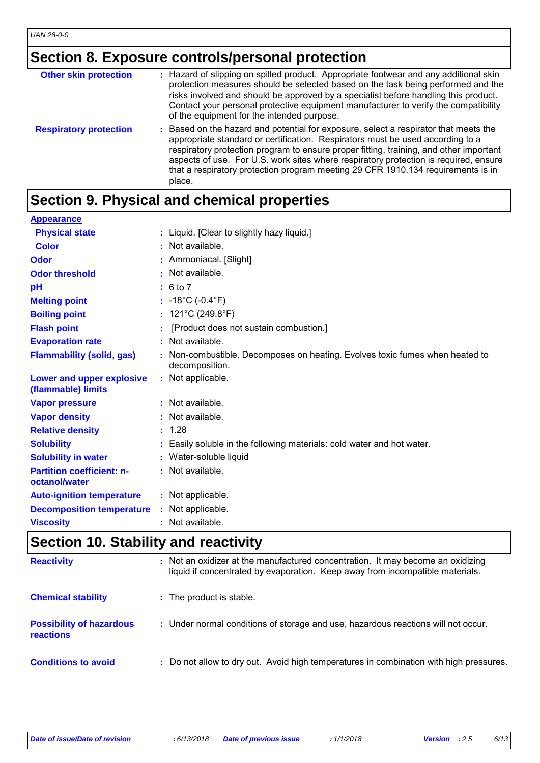# **Section 8. Exposure controls/personal protection**

| <b>Other skin protection</b>  | : Hazard of slipping on spilled product. Appropriate footwear and any additional skin<br>protection measures should be selected based on the task being performed and the<br>risks involved and should be approved by a specialist before handling this product.<br>Contact your personal protective equipment manufacturer to verify the compatibility<br>of the equipment for the intended purpose.                                                  |
|-------------------------------|--------------------------------------------------------------------------------------------------------------------------------------------------------------------------------------------------------------------------------------------------------------------------------------------------------------------------------------------------------------------------------------------------------------------------------------------------------|
| <b>Respiratory protection</b> | : Based on the hazard and potential for exposure, select a respirator that meets the<br>appropriate standard or certification. Respirators must be used according to a<br>respiratory protection program to ensure proper fitting, training, and other important<br>aspects of use. For U.S. work sites where respiratory protection is required, ensure<br>that a respiratory protection program meeting 29 CFR 1910.134 requirements is in<br>place. |

# **Section 9. Physical and chemical properties**

| <b>Appearance</b>                                 |    |                                                                                              |
|---------------------------------------------------|----|----------------------------------------------------------------------------------------------|
| <b>Physical state</b>                             |    | : Liquid. [Clear to slightly hazy liquid.]                                                   |
| Color                                             |    | : Not available.                                                                             |
| Odor                                              |    | Ammoniacal. [Slight]                                                                         |
| <b>Odor threshold</b>                             | ×. | Not available.                                                                               |
| рH                                                |    | : 6 to 7                                                                                     |
| <b>Melting point</b>                              |    | : $-18^{\circ}$ C ( $-0.4^{\circ}$ F)                                                        |
| <b>Boiling point</b>                              |    | : $121^{\circ}$ C (249.8 $^{\circ}$ F)                                                       |
| <b>Flash point</b>                                |    | [Product does not sustain combustion.]                                                       |
| <b>Evaporation rate</b>                           |    | Not available.                                                                               |
| <b>Flammability (solid, gas)</b>                  |    | Non-combustible. Decomposes on heating. Evolves toxic fumes when heated to<br>decomposition. |
| Lower and upper explosive<br>(flammable) limits   |    | : Not applicable.                                                                            |
| <b>Vapor pressure</b>                             |    | : Not available.                                                                             |
| <b>Vapor density</b>                              |    | : Not available.                                                                             |
| <b>Relative density</b>                           |    | : 1.28                                                                                       |
| <b>Solubility</b>                                 |    | Easily soluble in the following materials: cold water and hot water.                         |
| <b>Solubility in water</b>                        |    | : Water-soluble liquid                                                                       |
| <b>Partition coefficient: n-</b><br>octanol/water |    | : Not available.                                                                             |
| <b>Auto-ignition temperature</b>                  |    | : Not applicable.                                                                            |
| <b>Decomposition temperature</b>                  |    | Not applicable.                                                                              |
| <b>Viscosity</b>                                  |    | Not available.                                                                               |
|                                                   |    |                                                                                              |

## **Section 10. Stability and reactivity**

| <b>Reactivity</b>                            | : Not an oxidizer at the manufactured concentration. It may become an oxidizing<br>liquid if concentrated by evaporation. Keep away from incompatible materials. |
|----------------------------------------------|------------------------------------------------------------------------------------------------------------------------------------------------------------------|
| <b>Chemical stability</b>                    | : The product is stable.                                                                                                                                         |
| <b>Possibility of hazardous</b><br>reactions | : Under normal conditions of storage and use, hazardous reactions will not occur.                                                                                |
| <b>Conditions to avoid</b>                   | : Do not allow to dry out. Avoid high temperatures in combination with high pressures.                                                                           |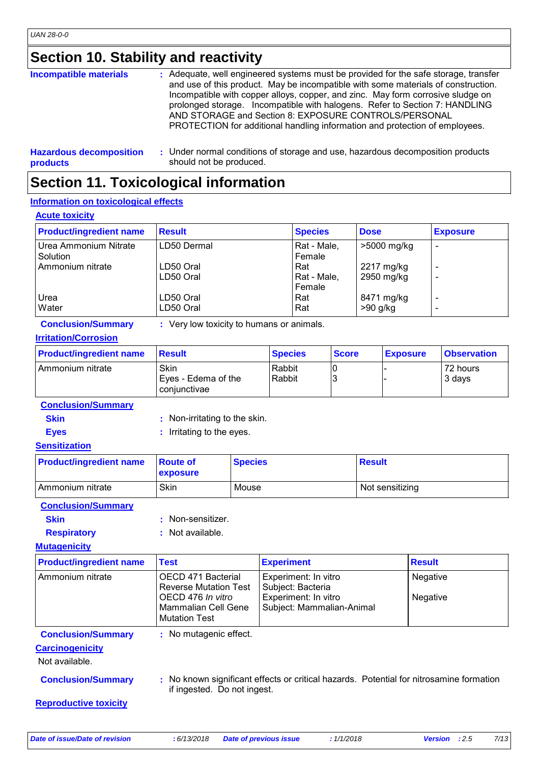**products**

# **Section 10. Stability and reactivity**

| <b>Incompatible materials</b>  | : Adequate, well engineered systems must be provided for the safe storage, transfer<br>and use of this product. May be incompatible with some materials of construction.<br>Incompatible with copper alloys, copper, and zinc. May form corrosive sludge on<br>prolonged storage. Incompatible with halogens. Refer to Section 7: HANDLING<br>AND STORAGE and Section 8: EXPOSURE CONTROLS/PERSONAL<br>PROTECTION for additional handling information and protection of employees. |
|--------------------------------|------------------------------------------------------------------------------------------------------------------------------------------------------------------------------------------------------------------------------------------------------------------------------------------------------------------------------------------------------------------------------------------------------------------------------------------------------------------------------------|
| <b>Hazardous decomposition</b> | : Under normal conditions of storage and use, hazardous decomposition products                                                                                                                                                                                                                                                                                                                                                                                                     |

# **Section 11. Toxicological information**

should not be produced.

#### **Information on toxicological effects**

#### **Acute toxicity**

| <b>Product/ingredient name</b>    | <b>Result</b>          | <b>Species</b>               | <b>Dose</b>              | <b>Exposure</b>               |
|-----------------------------------|------------------------|------------------------------|--------------------------|-------------------------------|
| Urea Ammonium Nitrate<br>Solution | LD50 Dermal            | Rat - Male,<br>Female        | >5000 mg/kg              | $\blacksquare$                |
| Ammonium nitrate                  | LD50 Oral<br>LD50 Oral | Rat<br>Rat - Male,<br>Female | 2217 mg/kg<br>2950 mg/kg | $\overline{\phantom{a}}$<br>- |
| Urea<br>Water                     | LD50 Oral<br>LD50 Oral | Rat<br>Rat                   | 8471 mg/kg<br>$>90$ g/kg | $\overline{\phantom{a}}$<br>- |

**Conclusion/Summary :** Very low toxicity to humans or animals.

#### **Irritation/Corrosion**

| <b>Product/ingredient name</b> | <b>Result</b>                               | <b>Species</b>   | <b>Score</b> | <b>Exposure</b> | <b>Observation</b> |
|--------------------------------|---------------------------------------------|------------------|--------------|-----------------|--------------------|
| I Ammonium nitrate             | Skin<br>Eyes - Edema of the<br>coniunctivae | Rabbit<br>Rabbit |              |                 | 72 hours<br>3 days |

**Conclusion/Summary**

- **Skin** : Non-irritating to the skin.
- 
- **Eyes** : Irritating to the eyes.

#### **Sensitization**

| <b>Product/ingredient name</b> Route of | <b>EXPOSURE</b> | <b>Species</b> | <b>Result</b>   |
|-----------------------------------------|-----------------|----------------|-----------------|
| l Ammonium nitrate                      | Skin            | Mouse          | Not sensitizing |

#### **Conclusion/Summary**

| <b>Skin</b> | : Non-sensitizer.          |
|-------------|----------------------------|
|             | Article and article to the |

#### **Respiratory : Not available.**

#### **Mutagenicity**

| <b>Product/ingredient name</b>                                                                                                                      | <b>Test</b>                                                      | <b>Experiment</b>                                 | <b>Result</b>   |  |  |
|-----------------------------------------------------------------------------------------------------------------------------------------------------|------------------------------------------------------------------|---------------------------------------------------|-----------------|--|--|
| Ammonium nitrate                                                                                                                                    | OECD 471 Bacterial<br><b>Reverse Mutation Test</b>               | Experiment: In vitro<br>Subject: Bacteria         | <b>Negative</b> |  |  |
|                                                                                                                                                     | OECD 476 In vitro<br>Mammalian Cell Gene<br><b>Mutation Test</b> | Experiment: In vitro<br>Subject: Mammalian-Animal | Negative        |  |  |
| <b>Conclusion/Summary</b>                                                                                                                           | : No mutagenic effect.                                           |                                                   |                 |  |  |
| <b>Carcinogenicity</b>                                                                                                                              |                                                                  |                                                   |                 |  |  |
| Not available.                                                                                                                                      |                                                                  |                                                   |                 |  |  |
| : No known significant effects or critical hazards. Potential for nitrosamine formation<br><b>Conclusion/Summary</b><br>if ingested. Do not ingest. |                                                                  |                                                   |                 |  |  |
| <b>Reproductive toxicity</b>                                                                                                                        |                                                                  |                                                   |                 |  |  |

*Date of issue/Date of revision* **:** *6/13/2018 Date of previous issue : 1/1/2018 Version : 2.5 7/13*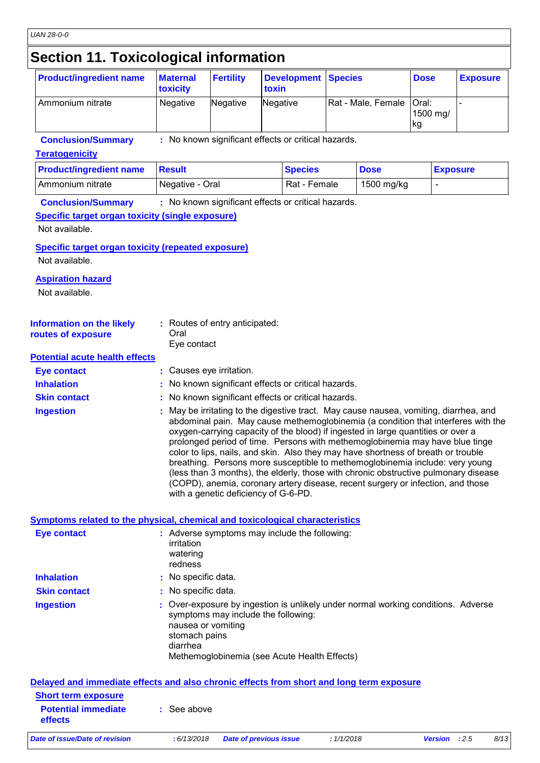### **Section 11. Toxicological information**

| <b>Product/ingredient name</b> | <b>Maternal</b><br>toxicity | <b>Fertility</b> | <b>Development Species</b><br>toxin |                            | <b>Dose</b>     | <b>Exposure</b> |
|--------------------------------|-----------------------------|------------------|-------------------------------------|----------------------------|-----------------|-----------------|
| Ammonium nitrate               | Negative                    | Negative         | Negative                            | Rat - Male, Female   Oral: | 1500 mg/<br> kg |                 |
| ________                       | $\cdots$                    |                  |                                     |                            |                 |                 |

**Conclusion/Summary :** No known significant effects or critical hazards.

#### **Teratogenicity**

| <b>Product/ingredient name</b> | <b>Result</b>   | <b>Species</b> | <b>Dose</b> | <b>Exposure</b> |
|--------------------------------|-----------------|----------------|-------------|-----------------|
| I Ammonium nitrate             | Negative - Oral | Rat - Female   | 1500 mg/kg  |                 |

**Conclusion/Summary :** No known significant effects or critical hazards.

#### **Specific target organ toxicity (single exposure)**

Not available.

**Specific target organ toxicity (repeated exposure)** Not available.

#### **Aspiration hazard**

Not available.

| Information on the likely<br>routes of exposure | : Routes of entry anticipated:<br>Oral<br>Eve contact |
|-------------------------------------------------|-------------------------------------------------------|
| Detential couts health offeate                  |                                                       |

#### **Potential acute health effects**

| <b>Eye contact</b>  | : Causes eye irritation.                                                                                                                                                                                                                                                                                                                                                                                                                                                                                                                                                                                   |
|---------------------|------------------------------------------------------------------------------------------------------------------------------------------------------------------------------------------------------------------------------------------------------------------------------------------------------------------------------------------------------------------------------------------------------------------------------------------------------------------------------------------------------------------------------------------------------------------------------------------------------------|
| <b>Inhalation</b>   | : No known significant effects or critical hazards.                                                                                                                                                                                                                                                                                                                                                                                                                                                                                                                                                        |
| <b>Skin contact</b> | : No known significant effects or critical hazards.                                                                                                                                                                                                                                                                                                                                                                                                                                                                                                                                                        |
| <b>Ingestion</b>    | : May be irritating to the digestive tract. May cause nausea, vomiting, diarrhea, and<br>abdominal pain. May cause methemoglobinemia (a condition that interferes with the<br>oxygen-carrying capacity of the blood) if ingested in large quantities or over a<br>prolonged period of time. Persons with methemoglobinemia may have blue tinge<br>color to lips, nails, and skin. Also they may have shortness of breath or trouble<br>breathing. Persons more susceptible to methemoglobinemia include: very young<br>(less than 3 months), the elderly, those with chronic obstructive pulmonary disease |

with a genetic deficiency of G-6-PD.

(COPD), anemia, coronary artery disease, recent surgery or infection, and those

#### **Symptoms related to the physical, chemical and toxicological characteristics**

| Eye contact         | : Adverse symptoms may include the following:<br>irritation<br>watering<br>redness                                                                                                                                          |
|---------------------|-----------------------------------------------------------------------------------------------------------------------------------------------------------------------------------------------------------------------------|
| <b>Inhalation</b>   | : No specific data.                                                                                                                                                                                                         |
| <b>Skin contact</b> | : No specific data.                                                                                                                                                                                                         |
| <b>Ingestion</b>    | : Over-exposure by ingestion is unlikely under normal working conditions. Adverse<br>symptoms may include the following:<br>nausea or vomiting<br>stomach pains<br>diarrhea<br>Methemoglobinemia (see Acute Health Effects) |
|                     | Delayed and immediate effects and also chronic effects from short and long term exposure                                                                                                                                    |

| Date of issue/Date of revision                                                                | : 6/13/2018 | Date of previous issue | : 1/1/2018 | <b>Version</b> : $2.5$ | 8/13 |
|-----------------------------------------------------------------------------------------------|-------------|------------------------|------------|------------------------|------|
| <b>Potential immediate</b><br><b>effects</b>                                                  | : See above |                        |            |                        |      |
| <b>Short term exposure</b>                                                                    |             |                        |            |                        |      |
| <u>Delayed and immediate chects and also chronic chects from short and iony term exposure</u> |             |                        |            |                        |      |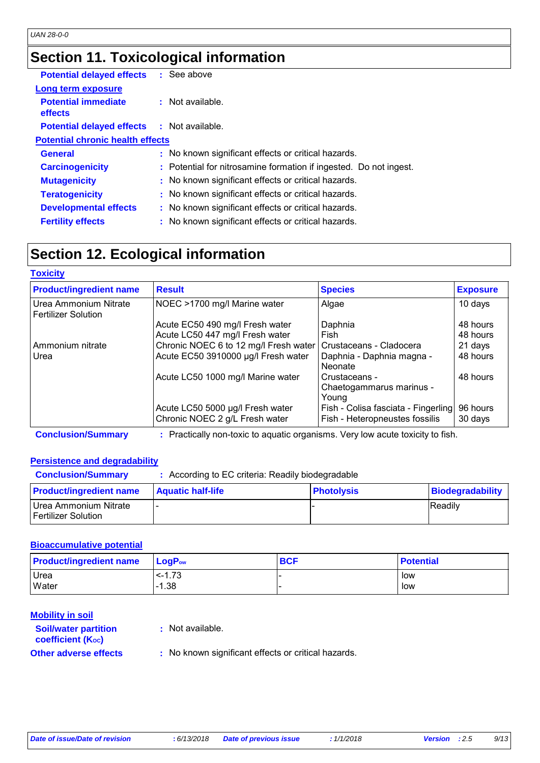# **Section 11. Toxicological information**

| <b>Potential delayed effects</b>             | : See above                                                       |
|----------------------------------------------|-------------------------------------------------------------------|
| Long term exposure                           |                                                                   |
| <b>Potential immediate</b><br><b>effects</b> | $\pm$ Not available.                                              |
| <b>Potential delayed effects</b>             | : Not available.                                                  |
| <b>Potential chronic health effects</b>      |                                                                   |
| <b>General</b>                               | : No known significant effects or critical hazards.               |
| <b>Carcinogenicity</b>                       | : Potential for nitrosamine formation if ingested. Do not ingest. |
| <b>Mutagenicity</b>                          | : No known significant effects or critical hazards.               |
| <b>Teratogenicity</b>                        | : No known significant effects or critical hazards.               |
| <b>Developmental effects</b>                 | : No known significant effects or critical hazards.               |
| <b>Fertility effects</b>                     | : No known significant effects or critical hazards.               |

# **Section 12. Ecological information**

#### **Toxicity**

| <b>Product/ingredient name</b>                      | <b>Result</b>                                                      | <b>Species</b>                                                        | <b>Exposure</b>     |
|-----------------------------------------------------|--------------------------------------------------------------------|-----------------------------------------------------------------------|---------------------|
| Urea Ammonium Nitrate<br><b>Fertilizer Solution</b> | NOEC >1700 mg/l Marine water                                       | Algae                                                                 | 10 days             |
|                                                     | Acute EC50 490 mg/l Fresh water                                    | Daphnia                                                               | 48 hours            |
|                                                     | Acute LC50 447 mg/l Fresh water                                    | Fish                                                                  | 48 hours            |
| Ammonium nitrate                                    | Chronic NOEC 6 to 12 mg/l Fresh water                              | Crustaceans - Cladocera                                               | 21 days             |
| Urea                                                | Acute EC50 3910000 µg/l Fresh water                                | Daphnia - Daphnia magna -<br>Neonate                                  | 48 hours            |
|                                                     | Acute LC50 1000 mg/l Marine water                                  | Crustaceans -<br>Chaetogammarus marinus -<br>Young                    | 48 hours            |
|                                                     | Acute LC50 5000 µg/l Fresh water<br>Chronic NOEC 2 g/L Fresh water | Fish - Colisa fasciata - Fingerling<br>Fish - Heteropneustes fossilis | 96 hours<br>30 days |

**Conclusion/Summary :** Practically non-toxic to aquatic organisms. Very low acute toxicity to fish.

#### **Persistence and degradability**

| <b>Conclusion/Summary</b>                    | : According to EC criteria: Readily biodegradable |                   |                  |  |
|----------------------------------------------|---------------------------------------------------|-------------------|------------------|--|
| <b>Product/ingredient name</b>               | <b>Aquatic half-life</b>                          | <b>Photolysis</b> | Biodegradability |  |
| Urea Ammonium Nitrate<br>Fertilizer Solution |                                                   |                   | Readily          |  |

#### **Bioaccumulative potential**

| <b>Product/ingredient name</b> | $\mathsf{LocP}_\mathsf{ow}$ | <b>BCF</b> | <b>Potential</b> |
|--------------------------------|-----------------------------|------------|------------------|
| Urea                           | $-1.73$                     |            | low              |
| Water                          | $-1.38$                     |            | low              |

#### **Mobility in soil**

| <b>Soil/water partition</b>  | : N |  |
|------------------------------|-----|--|
| <b>coefficient (Koc)</b>     |     |  |
| <b>Other adverse effects</b> | : N |  |

- **:** Not available.
- **No known significant effects or critical hazards.**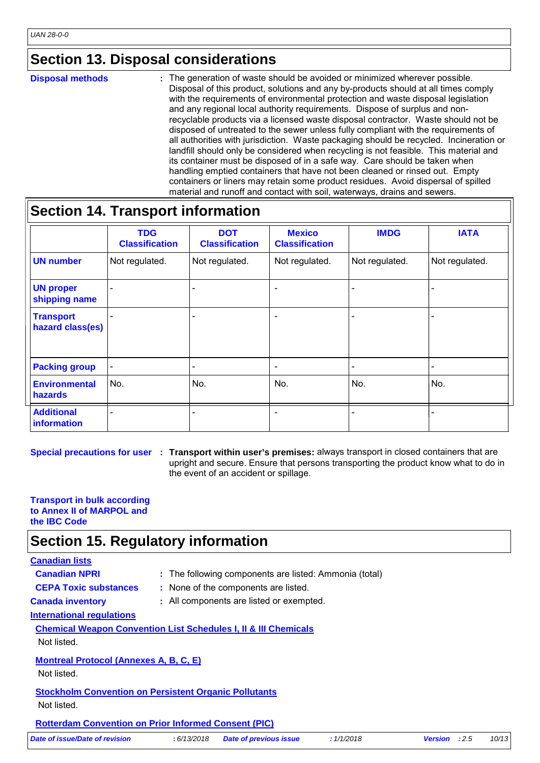### **Section 13. Disposal considerations**

**Disposal methods :**

The generation of waste should be avoided or minimized wherever possible. Disposal of this product, solutions and any by-products should at all times comply with the requirements of environmental protection and waste disposal legislation and any regional local authority requirements. Dispose of surplus and nonrecyclable products via a licensed waste disposal contractor. Waste should not be disposed of untreated to the sewer unless fully compliant with the requirements of all authorities with jurisdiction. Waste packaging should be recycled. Incineration or landfill should only be considered when recycling is not feasible. This material and its container must be disposed of in a safe way. Care should be taken when handling emptied containers that have not been cleaned or rinsed out. Empty containers or liners may retain some product residues. Avoid dispersal of spilled material and runoff and contact with soil, waterways, drains and sewers.

### **Section 14. Transport information**

|                                      | <b>TDG</b><br><b>Classification</b> | <b>DOT</b><br><b>Classification</b> | <b>Mexico</b><br><b>Classification</b> | <b>IMDG</b>    | <b>IATA</b>     |  |
|--------------------------------------|-------------------------------------|-------------------------------------|----------------------------------------|----------------|-----------------|--|
| <b>UN number</b>                     | Not regulated.                      | Not regulated.                      | Not regulated.                         | Not regulated. | Not regulated.  |  |
| <b>UN proper</b><br>shipping name    |                                     |                                     | $\overline{\phantom{a}}$               |                |                 |  |
| <b>Transport</b><br>hazard class(es) |                                     |                                     | $\overline{\phantom{a}}$               |                |                 |  |
| <b>Packing group</b>                 | $\qquad \qquad$                     | $\overline{\phantom{0}}$            | $\overline{\phantom{a}}$               | -              | $\qquad \qquad$ |  |
| <b>Environmental</b><br>hazards      | No.                                 | No.                                 | No.                                    | No.            | No.             |  |
| <b>Additional</b><br>information     | $\overline{\phantom{0}}$            |                                     | $\overline{\phantom{a}}$               |                |                 |  |

**Special precautions for user** : Transport within user's premises: always transport in closed containers that are upright and secure. Ensure that persons transporting the product know what to do in the event of an accident or spillage.

#### **Transport in bulk according to Annex II of MARPOL and the IBC Code**

### **Section 15. Regulatory information**

#### **Canadian lists**

- 
- **Canadian NPRI** : The following components are listed: Ammonia (total)
- 
- **CEPA Toxic substances :** None of the components are listed.
- 
- **Canada inventory :** All components are listed or exempted.

**International regulations**

**Chemical Weapon Convention List Schedules I, II & III Chemicals**

Not listed.

**Montreal Protocol (Annexes A, B, C, E)**

Not listed.

**Stockholm Convention on Persistent Organic Pollutants** Not listed.

**Rotterdam Convention on Prior Informed Consent (PIC)**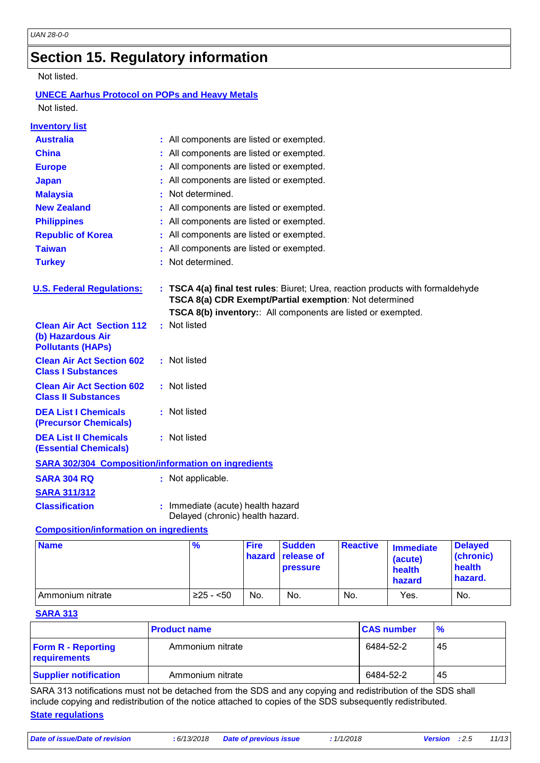## **Section 15. Regulatory information**

#### Not listed.

#### **UNECE Aarhus Protocol on POPs and Heavy Metals** Not listed.

| <b>Inventory list</b>                                                             |                                                                                                                                           |
|-----------------------------------------------------------------------------------|-------------------------------------------------------------------------------------------------------------------------------------------|
| <b>Australia</b>                                                                  | : All components are listed or exempted.                                                                                                  |
| <b>China</b>                                                                      | All components are listed or exempted.                                                                                                    |
| <b>Europe</b>                                                                     | All components are listed or exempted.                                                                                                    |
| <b>Japan</b>                                                                      | All components are listed or exempted.                                                                                                    |
| <b>Malaysia</b>                                                                   | Not determined.                                                                                                                           |
| <b>New Zealand</b>                                                                | All components are listed or exempted.                                                                                                    |
| <b>Philippines</b>                                                                | All components are listed or exempted.                                                                                                    |
| <b>Republic of Korea</b>                                                          | All components are listed or exempted.                                                                                                    |
| <b>Taiwan</b>                                                                     | All components are listed or exempted.                                                                                                    |
| <b>Turkey</b>                                                                     | Not determined.                                                                                                                           |
|                                                                                   |                                                                                                                                           |
| <b>U.S. Federal Regulations:</b>                                                  | : TSCA 4(a) final test rules: Biuret; Urea, reaction products with formaldehyde<br>TSCA 8(a) CDR Exempt/Partial exemption: Not determined |
|                                                                                   | TSCA 8(b) inventory: All components are listed or exempted.                                                                               |
| <b>Clean Air Act Section 112</b><br>(b) Hazardous Air<br><b>Pollutants (HAPS)</b> | : Not listed                                                                                                                              |
| <b>Clean Air Act Section 602</b><br><b>Class I Substances</b>                     | : Not listed                                                                                                                              |
| <b>Clean Air Act Section 602</b><br><b>Class II Substances</b>                    | : Not listed                                                                                                                              |
| <b>DEA List I Chemicals</b><br><b>(Precursor Chemicals)</b>                       | : Not listed                                                                                                                              |
| <b>DEA List II Chemicals</b><br><b>(Essential Chemicals)</b>                      | : Not listed                                                                                                                              |
| <b>SARA 302/304 Composition/information on ingredients</b>                        |                                                                                                                                           |
| <b>SARA 304 RQ</b>                                                                | : Not applicable.                                                                                                                         |
| <b>SARA 311/312</b>                                                               |                                                                                                                                           |
| <b>Classification</b>                                                             | : Immediate (acute) health hazard                                                                                                         |

Delayed (chronic) health hazard.

#### **Composition/information on ingredients**

| <b>Name</b>      | %          | <b>Fire</b> | <b>Sudden</b><br><b>hazard release of</b><br><b>pressure</b> | <b>Reactive</b> | <b>Immediate</b><br>(acute)<br>health<br>hazard | <b>Delayed</b><br>(chronic)<br>health<br>hazard. |
|------------------|------------|-------------|--------------------------------------------------------------|-----------------|-------------------------------------------------|--------------------------------------------------|
| Ammonium nitrate | $≥25 - 50$ | No.         | No.                                                          | No.             | Yes.                                            | No.                                              |

#### **SARA 313**

|                                           | <b>Product name</b> | <b>CAS number</b> | $\frac{9}{6}$ |
|-------------------------------------------|---------------------|-------------------|---------------|
| <b>Form R - Reporting</b><br>requirements | Ammonium nitrate    | 6484-52-2         | 45            |
| <b>Supplier notification</b>              | Ammonium nitrate    | 6484-52-2         | 45            |

SARA 313 notifications must not be detached from the SDS and any copying and redistribution of the SDS shall include copying and redistribution of the notice attached to copies of the SDS subsequently redistributed.

#### **State regulations**

*Date of issue/Date of revision* **:** *6/13/2018 Date of previous issue : 1/1/2018 Version : 2.5 11/13*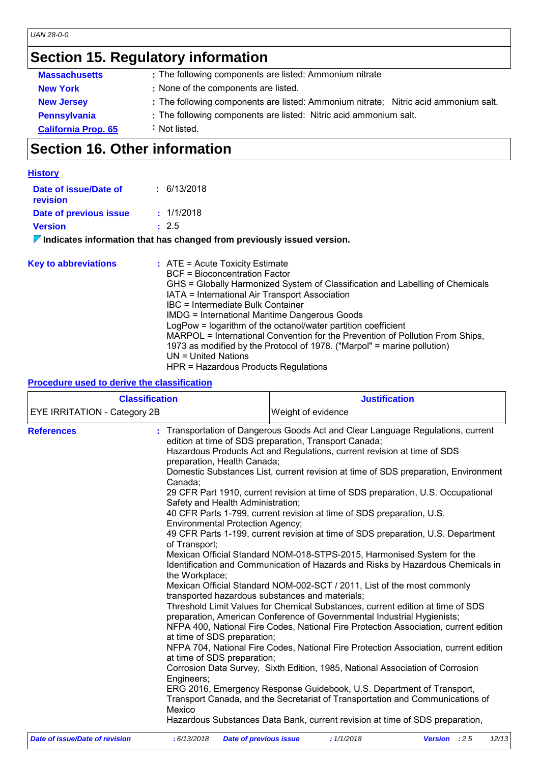# **Section 15. Regulatory information**

| <b>Massachusetts</b>       | : The following components are listed: Ammonium nitrate                             |
|----------------------------|-------------------------------------------------------------------------------------|
| <b>New York</b>            | : None of the components are listed.                                                |
| <b>New Jersey</b>          | : The following components are listed: Ammonium nitrate; Nitric acid ammonium salt. |
| <b>Pennsylvania</b>        | : The following components are listed: Nitric acid ammonium salt.                   |
| <b>California Prop. 65</b> | : Not listed.                                                                       |

# **Section 16. Other information**

| <b>History</b>                    |                                                                                                                                                                                                                                                                                                                                                                                                                                                                                                                                                                        |
|-----------------------------------|------------------------------------------------------------------------------------------------------------------------------------------------------------------------------------------------------------------------------------------------------------------------------------------------------------------------------------------------------------------------------------------------------------------------------------------------------------------------------------------------------------------------------------------------------------------------|
| Date of issue/Date of<br>revision | : 6/13/2018                                                                                                                                                                                                                                                                                                                                                                                                                                                                                                                                                            |
| Date of previous issue            | : 1/1/2018                                                                                                                                                                                                                                                                                                                                                                                                                                                                                                                                                             |
| <b>Version</b>                    | : 2.5                                                                                                                                                                                                                                                                                                                                                                                                                                                                                                                                                                  |
|                                   | $\triangledown$ Indicates information that has changed from previously issued version.                                                                                                                                                                                                                                                                                                                                                                                                                                                                                 |
| <b>Key to abbreviations</b>       | $:$ ATE = Acute Toxicity Estimate<br><b>BCF</b> = Bioconcentration Factor<br>GHS = Globally Harmonized System of Classification and Labelling of Chemicals<br>IATA = International Air Transport Association<br><b>IBC</b> = Intermediate Bulk Container<br><b>IMDG = International Maritime Dangerous Goods</b><br>LogPow = logarithm of the octanol/water partition coefficient<br>MARPOL = International Convention for the Prevention of Pollution From Ships,<br>1973 as modified by the Protocol of 1978. ("Marpol" = marine pollution)<br>$UN = United Nations$ |

#### HPR = Hazardous Products Regulations **Procedure used to derive the classification**

| <b>Classification</b>        |                                                                                                                                                                                                                                                                                                    | <b>Justification</b>                                                                                                                                                                                                                                                                                                                                                                                                                                                                                                                                                                                                                                                                                                                                                                                                                                                                                                                                                                                                                                                                                                                                                                                                                                                                                                                                                                                                                                                       |  |  |
|------------------------------|----------------------------------------------------------------------------------------------------------------------------------------------------------------------------------------------------------------------------------------------------------------------------------------------------|----------------------------------------------------------------------------------------------------------------------------------------------------------------------------------------------------------------------------------------------------------------------------------------------------------------------------------------------------------------------------------------------------------------------------------------------------------------------------------------------------------------------------------------------------------------------------------------------------------------------------------------------------------------------------------------------------------------------------------------------------------------------------------------------------------------------------------------------------------------------------------------------------------------------------------------------------------------------------------------------------------------------------------------------------------------------------------------------------------------------------------------------------------------------------------------------------------------------------------------------------------------------------------------------------------------------------------------------------------------------------------------------------------------------------------------------------------------------------|--|--|
| EYE IRRITATION - Category 2B |                                                                                                                                                                                                                                                                                                    | Weight of evidence                                                                                                                                                                                                                                                                                                                                                                                                                                                                                                                                                                                                                                                                                                                                                                                                                                                                                                                                                                                                                                                                                                                                                                                                                                                                                                                                                                                                                                                         |  |  |
| <b>References</b>            | preparation, Health Canada;<br>Canada:<br>Safety and Health Administration;<br><b>Environmental Protection Agency;</b><br>of Transport;<br>the Workplace;<br>transported hazardous substances and materials;<br>at time of SDS preparation;<br>at time of SDS preparation;<br>Engineers;<br>Mexico | : Transportation of Dangerous Goods Act and Clear Language Regulations, current<br>edition at time of SDS preparation, Transport Canada;<br>Hazardous Products Act and Regulations, current revision at time of SDS<br>Domestic Substances List, current revision at time of SDS preparation, Environment<br>29 CFR Part 1910, current revision at time of SDS preparation, U.S. Occupational<br>40 CFR Parts 1-799, current revision at time of SDS preparation, U.S.<br>49 CFR Parts 1-199, current revision at time of SDS preparation, U.S. Department<br>Mexican Official Standard NOM-018-STPS-2015, Harmonised System for the<br>Identification and Communication of Hazards and Risks by Hazardous Chemicals in<br>Mexican Official Standard NOM-002-SCT / 2011, List of the most commonly<br>Threshold Limit Values for Chemical Substances, current edition at time of SDS<br>preparation, American Conference of Governmental Industrial Hygienists;<br>NFPA 400, National Fire Codes, National Fire Protection Association, current edition<br>NFPA 704, National Fire Codes, National Fire Protection Association, current edition<br>Corrosion Data Survey, Sixth Edition, 1985, National Association of Corrosion<br>ERG 2016, Emergency Response Guidebook, U.S. Department of Transport,<br>Transport Canada, and the Secretariat of Transportation and Communications of<br>Hazardous Substances Data Bank, current revision at time of SDS preparation, |  |  |

| Date of issue/Date of revision | : 6/13/2018 Date of previous issue | 1/1/2018 | <b>Version</b> : 2.5 | 12/13 |
|--------------------------------|------------------------------------|----------|----------------------|-------|
|                                |                                    |          |                      |       |